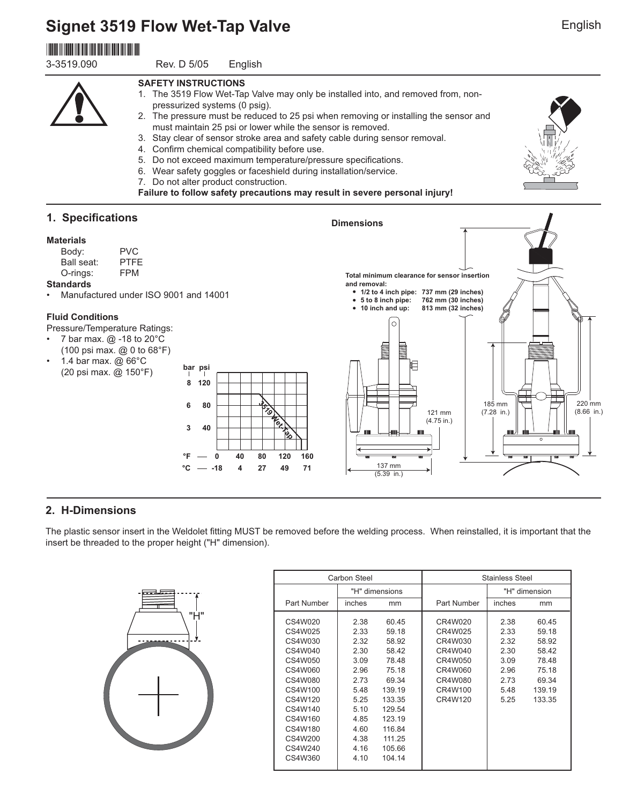# **Signet 3519 Flow Wet-Tap Valve**

# \*3-3519.090\*

3-3519.090 Rev. D 5/05 English

#### **SAFETY INSTRUCTIONS**

- 1. The 3519 Flow Wet-Tap Valve may only be installed into, and removed from, nonpressurized systems (0 psig).
- 2. The pressure must be reduced to 25 psi when removing or installing the sensor and must maintain 25 psi or lower while the sensor is removed.

**Dimensions**

- 3. Stay clear of sensor stroke area and safety cable during sensor removal.
- 4. Confirm chemical compatibility before use.
- 5. Do not exceed maximum temperature/pressure specifications.
- 6. Wear safety goggles or faceshield during installation/service.
- 7. Do not alter product construction.

**Failure to follow safety precautions may result in severe personal injury!**

## **1. Specifications**

#### **Materials**

| Body:      | <b>PVC</b>  |
|------------|-------------|
| Ball seat: | <b>PTFF</b> |
| O-rings:   | <b>FPM</b>  |
|            |             |

#### **Standards**

• Manufactured under ISO 9001 and 14001

#### **Fluid Conditions**

Pressure/Temperature Ratings:

- 7 bar max.  $@$  -18 to 20 $^{\circ}$ C (100 psi max. @ 0 to 68°F)
- 1.4 bar max. @ 66°C (20 psi max. @ 150°F)



**Total minimum clearance for sensor insertion** 

# **2. H-Dimensions**

The plastic sensor insert in the Weldolet fitting MUST be removed before the welding process. When reinstalled, it is important that the insert be threaded to the proper height ("H" dimension).

| ÷<br>-- | "Ĥ"<br>۰ |
|---------|----------|
|         |          |
|         |          |

|             | Carbon Steel |                |             | <b>Stainless Steel</b> |               |
|-------------|--------------|----------------|-------------|------------------------|---------------|
|             |              | "H" dimensions |             |                        | "H" dimension |
| Part Number | inches       | mm             | Part Number | inches                 | mm            |
| CS4W020     | 2.38         | 60.45          | CR4W020     | 2.38                   | 60.45         |
| CS4W025     | 2.33         | 59.18          | CR4W025     | 2.33                   | 59.18         |
| CS4W030     | 2.32         | 58.92          | CR4W030     | 2.32                   | 58.92         |
| CS4W040     | 2.30         | 58.42          | CR4W040     | 2.30                   | 58.42         |
| CS4W050     | 3.09         | 78.48          | CR4W050     | 3.09                   | 78.48         |
| CS4W060     | 2.96         | 75.18          | CR4W060     | 2.96                   | 75.18         |
| CS4W080     | 2.73         | 69.34          | CR4W080     | 2.73                   | 69.34         |
| CS4W100     | 5.48         | 139.19         | CR4W100     | 5.48                   | 139.19        |
| CS4W120     | 5.25         | 133.35         | CR4W120     | 5.25                   | 133.35        |
| CS4W140     | 5.10         | 129.54         |             |                        |               |
| CS4W160     | 4.85         | 123.19         |             |                        |               |
| CS4W180     | 4.60         | 116.84         |             |                        |               |
| CS4W200     | 4.38         | 111.25         |             |                        |               |
| CS4W240     | 4.16         | 105.66         |             |                        |               |
| CS4W360     | 4.10         | 104.14         |             |                        |               |
|             |              |                |             |                        |               |



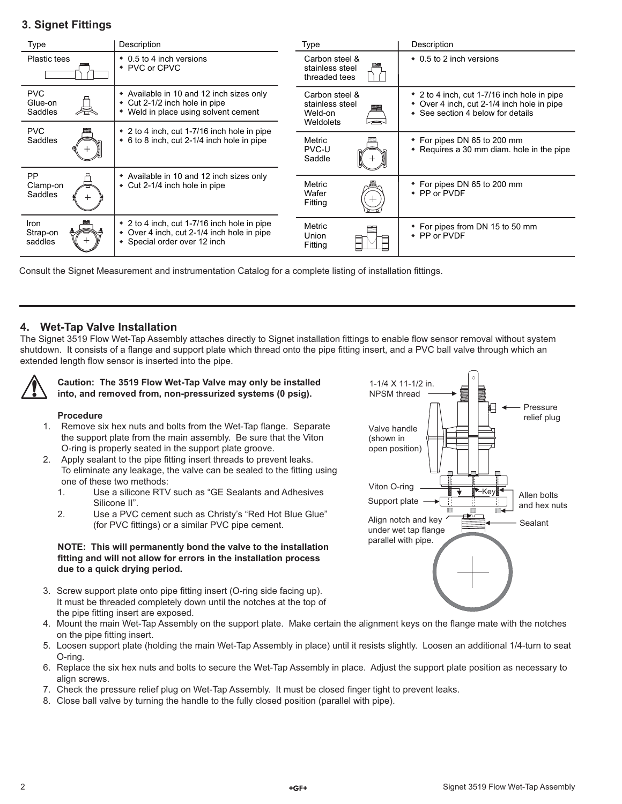# **3. Signet Fittings**

| <b>Type</b>                      | Description                                                                                                          | Type                                                      | Description                                                                                                                    |
|----------------------------------|----------------------------------------------------------------------------------------------------------------------|-----------------------------------------------------------|--------------------------------------------------------------------------------------------------------------------------------|
| <b>Plastic tees</b>              | • 0.5 to 4 inch versions<br>• PVC or CPVC                                                                            | Carbon steel &<br>stainless steel<br>threaded tees        | • 0.5 to 2 inch versions                                                                                                       |
| <b>PVC</b><br>Glue-on<br>Saddles | • Available in 10 and 12 inch sizes only<br>• Cut 2-1/2 inch hole in pipe<br>Weld in place using solvent cement<br>٠ | Carbon steel &<br>stainless steel<br>Weld-on<br>Weldolets | • 2 to 4 inch, cut 1-7/16 inch hole in pipe<br>• Over 4 inch, cut 2-1/4 inch hole in pipe<br>• See section 4 below for details |
| <b>PVC</b>                       | • 2 to 4 inch, cut 1-7/16 inch hole in pipe                                                                          |                                                           |                                                                                                                                |
| Saddles                          | • 6 to 8 inch, cut 2-1/4 inch hole in pipe                                                                           | Metric<br>PVC-U<br>Saddle                                 | • For pipes DN 65 to 200 mm<br>• Requires a 30 mm diam. hole in the pipe                                                       |
| <b>PP</b>                        | • Available in 10 and 12 inch sizes only                                                                             | Metric                                                    |                                                                                                                                |
| Clamp-on<br>Saddles              | • Cut 2-1/4 inch hole in pipe                                                                                        | Wafer<br>Fitting                                          | • For pipes DN 65 to 200 mm<br>• PP or PVDF                                                                                    |
| Iron                             | • 2 to 4 inch, cut 1-7/16 inch hole in pipe                                                                          | Metric                                                    | • For pipes from DN 15 to 50 mm                                                                                                |
| Strap-on<br>saddles              | • Over 4 inch, cut 2-1/4 inch hole in pipe<br>• Special order over 12 inch                                           | <b>Union</b><br>Fitting                                   | • PP or PVDF                                                                                                                   |

Consult the Signet Measurement and instrumentation Catalog for a complete listing of installation fittings.

### **4. Wet-Tap Valve Installation**

The Signet 3519 Flow Wet-Tap Assembly attaches directly to Signet installation fittings to enable flow sensor removal without system shutdown. It consists of a flange and support plate which thread onto the pipe fitting insert, and a PVC ball valve through which an extended length flow sensor is inserted into the pipe.



#### **Caution: The 3519 Flow Wet-Tap Valve may only be installed into, and removed from, non-pressurized systems (0 psig).**

#### **Procedure**

- 1. Remove six hex nuts and bolts from the Wet-Tap flange. Separate the support plate from the main assembly. Be sure that the Viton O-ring is properly seated in the support plate groove.
- Apply sealant to the pipe fitting insert threads to prevent leaks. To eliminate any leakage, the valve can be sealed to the fitting using one of these two methods: 2.
	- 1. Use a silicone RTV such as "GE Sealants and Adhesives Silicone II".
	- 2. Use a PVC cement such as Christy's "Red Hot Blue Glue" (for PVC fittings) or a similar PVC pipe cement.

#### **NOTE: This will permanently bond the valve to the installation fi tting and will not allow for errors in the installation process due to a quick drying period.**

- 3. Screw support plate onto pipe fitting insert (O-ring side facing up). It must be threaded completely down until the notches at the top of the pipe fitting insert are exposed.
- 4. Mount the main Wet-Tap Assembly on the support plate. Make certain the alignment keys on the flange mate with the notches on the pipe fitting insert.
- 5. Loosen support plate (holding the main Wet-Tap Assembly in place) until it resists slightly. Loosen an additional 1/4-turn to seat O-ring.
- 6. Replace the six hex nuts and bolts to secure the Wet-Tap Assembly in place. Adjust the support plate position as necessary to align screws.
- 7. Check the pressure relief plug on Wet-Tap Assembly. It must be closed finger tight to prevent leaks.
- 8. Close ball valve by turning the handle to the fully closed position (parallel with pipe).

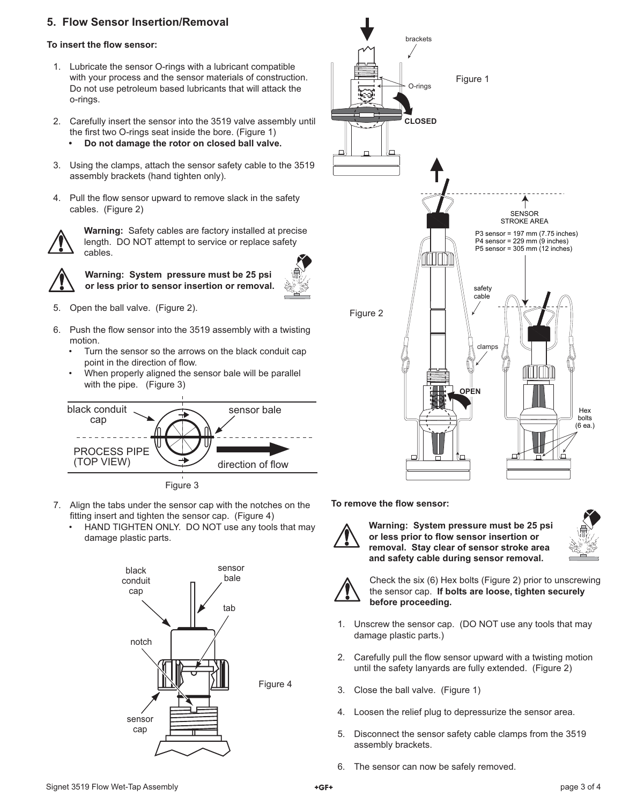### **5. Flow Sensor Insertion/Removal**

#### **To insert the flow sensor:**

- 1. Lubricate the sensor O-rings with a lubricant compatible with your process and the sensor materials of construction. Do not use petroleum based lubricants that will attack the o-rings.
- 2. Carefully insert the sensor into the 3519 valve assembly until the first two O-rings seat inside the bore. (Figure 1) **• Do not damage the rotor on closed ball valve.**
- 3. Using the clamps, attach the sensor safety cable to the 3519 assembly brackets (hand tighten only).
- 4. Pull the flow sensor upward to remove slack in the safety cables. (Figure 2)



**Warning:** Safety cables are factory installed at precise length. DO NOT attempt to service or replace safety cables.



**Warning: System pressure must be 25 psi or less prior to sensor insertion or removal.**



- 5. Open the ball valve. (Figure 2).
- 6. Push the flow sensor into the 3519 assembly with a twisting motion.
	- Turn the sensor so the arrows on the black conduit cap point in the direction of flow.
	- When properly aligned the sensor bale will be parallel with the pipe. (Figure 3)



Figure 3

- 7. Align the tabs under the sensor cap with the notches on the fitting insert and tighten the sensor cap. (Figure 4)
	- HAND TIGHTEN ONLY. DO NOT use any tools that may damage plastic parts.





**To remove the flow sensor:** 



**Warning: System pressure must be 25 psi**  or less prior to flow sensor insertion or **removal. Stay clear of sensor stroke area and safety cable during sensor removal.**





Check the six (6) Hex bolts (Figure 2) prior to unscrewing the sensor cap. **If bolts are loose, tighten securely before proceeding.**

- 1. Unscrew the sensor cap. (DO NOT use any tools that may damage plastic parts.)
- 2. Carefully pull the flow sensor upward with a twisting motion until the safety lanyards are fully extended. (Figure 2)
- 3. Close the ball valve. (Figure 1)
- 4. Loosen the relief plug to depressurize the sensor area.
- 5. Disconnect the sensor safety cable clamps from the 3519 assembly brackets.
- 6. The sensor can now be safely removed.